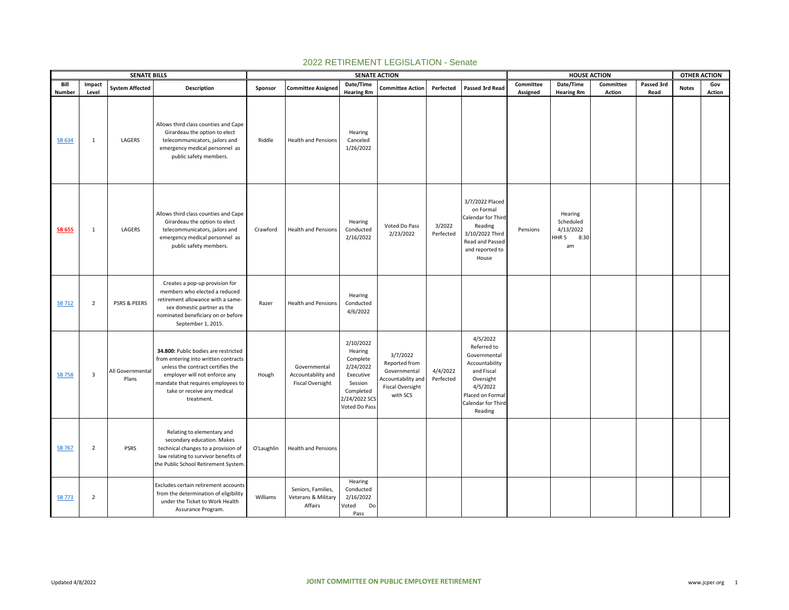|                  |                         | <b>SENATE BILLS</b>       |                                                                                                                                                                                                                                       |            |                                                               |                                                                                                                      | <b>SENATE ACTION</b>                                                                                   |                       |                                                                                                                                                      |           | <b>HOUSE ACTION</b>                                      |               |            | <b>OTHER ACTION</b> |        |
|------------------|-------------------------|---------------------------|---------------------------------------------------------------------------------------------------------------------------------------------------------------------------------------------------------------------------------------|------------|---------------------------------------------------------------|----------------------------------------------------------------------------------------------------------------------|--------------------------------------------------------------------------------------------------------|-----------------------|------------------------------------------------------------------------------------------------------------------------------------------------------|-----------|----------------------------------------------------------|---------------|------------|---------------------|--------|
| Bill             | Impact                  | <b>System Affected</b>    | Description                                                                                                                                                                                                                           | Sponsor    | <b>Committee Assigned</b>                                     | Date/Time                                                                                                            | <b>Committee Action</b>                                                                                | Perfected             | Passed 3rd Read                                                                                                                                      | Committee | Date/Time                                                | Committee     | Passed 3rd | <b>Notes</b>        | Gov    |
| Number<br>SB 634 | Level<br>1              | LAGERS                    | Allows third class counties and Cape<br>Girardeau the option to elect<br>telecommunicators, jailors and<br>emergency medical personnel as<br>public safety members.                                                                   | Riddle     | <b>Health and Pensions</b>                                    | <b>Hearing Rm</b><br>Hearing<br>Canceled<br>1/26/2022                                                                |                                                                                                        |                       |                                                                                                                                                      | Assigned  | <b>Hearing Rm</b>                                        | <b>Action</b> | Read       |                     | Action |
| <b>SB 655</b>    | 1                       | LAGERS                    | Allows third class counties and Cape<br>Girardeau the option to elect<br>telecommunicators, jailors and<br>emergency medical personnel as<br>public safety members.                                                                   | Crawford   | <b>Health and Pensions</b>                                    | Hearing<br>Conducted<br>2/16/2022                                                                                    | Voted Do Pass<br>2/23/2022                                                                             | 3/2022<br>Perfected   | 3/7/2022 Placed<br>on Formal<br>Calendar for Third<br>Reading<br>3/10/2022 Third<br><b>Read and Passed</b><br>and reported to<br>House               | Pensions  | Hearing<br>Scheduled<br>4/13/2022<br>HHR 5<br>8:30<br>am |               |            |                     |        |
| <b>SB 712</b>    | $\overline{2}$          | PSRS & PEERS              | Creates a pop-up provision for<br>members who elected a reduced<br>retirement allowance with a same-<br>sex domestic partner as the<br>nominated beneficiary on or before<br>September 1, 2015.                                       | Razer      | <b>Health and Pensions</b>                                    | Hearing<br>Conducted<br>4/6/2022                                                                                     |                                                                                                        |                       |                                                                                                                                                      |           |                                                          |               |            |                     |        |
| <b>SB 758</b>    | $\overline{\mathbf{3}}$ | All Governmental<br>Plans | 34.800: Public bodies are restricted<br>from entering into written contracts<br>unless the contract certifies the<br>employer will not enforce any<br>mandate that requires employees to<br>take or receive any medical<br>treatment. | Hough      | Governmental<br>Accountability and<br><b>Fiscal Oversight</b> | 2/10/2022<br>Hearing<br>Complete<br>2/24/2022<br>Executive<br>Session<br>Completed<br>2/24/2022 SCS<br>Voted Do Pass | 3/7/2022<br>Reported from<br>Governmental<br>Accountability and<br><b>Fiscal Oversight</b><br>with SCS | 4/4/2022<br>Perfected | 4/5/2022<br>Referred to<br>Governmental<br>Accountability<br>and Fiscal<br>Oversight<br>4/5/2022<br>Placed on Forma<br>Calendar for Third<br>Reading |           |                                                          |               |            |                     |        |
| <b>SB 767</b>    | $\overline{2}$          | <b>PSRS</b>               | Relating to elementary and<br>secondary education. Makes<br>technical changes to a provision of<br>law relating to survivor benefits of<br>the Public School Retirement System.                                                       | O'Laughlin | <b>Health and Pensions</b>                                    |                                                                                                                      |                                                                                                        |                       |                                                                                                                                                      |           |                                                          |               |            |                     |        |
| <b>SB 773</b>    | $\overline{2}$          |                           | Excludes certain retirement accounts<br>from the determination of eligibility<br>under the Ticket to Work Health<br>Assurance Program.                                                                                                | Williams   | Seniors, Families,<br>Veterans & Military<br>Affairs          | Hearing<br>Conducted<br>2/16/2022<br>Voted<br>Do<br>Pass                                                             |                                                                                                        |                       |                                                                                                                                                      |           |                                                          |               |            |                     |        |

## 2022 RETIREMENT LEGISLATION - Senate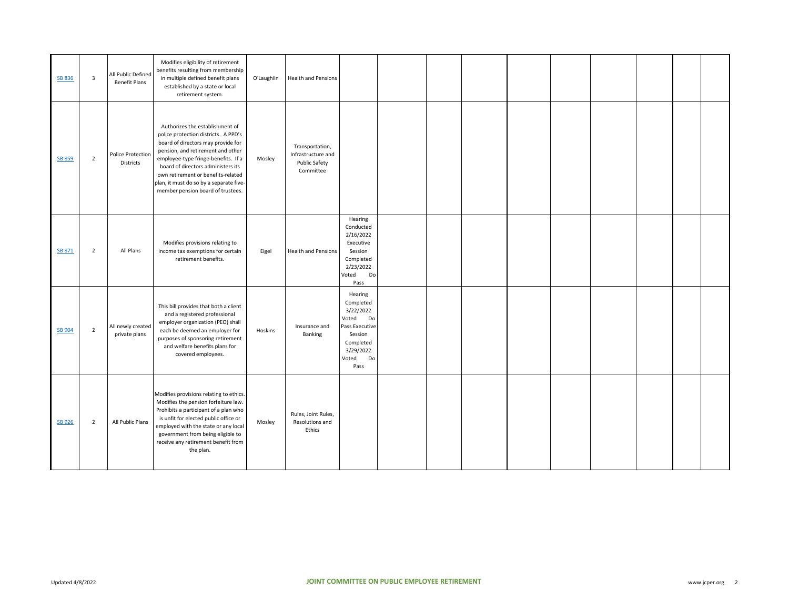| SB 836        | 3              | All Public Defined<br><b>Benefit Plans</b> | Modifies eligibility of retirement<br>benefits resulting from membership<br>in multiple defined benefit plans<br>established by a state or local<br>retirement system.                                                                                                                                                                                | O'Laughlin | <b>Health and Pensions</b>                                                 |                                                                                                                                |  |  |  |  |  |
|---------------|----------------|--------------------------------------------|-------------------------------------------------------------------------------------------------------------------------------------------------------------------------------------------------------------------------------------------------------------------------------------------------------------------------------------------------------|------------|----------------------------------------------------------------------------|--------------------------------------------------------------------------------------------------------------------------------|--|--|--|--|--|
| <b>SB 859</b> | $\overline{2}$ | Police Protection<br>Districts             | Authorizes the establishment of<br>police protection districts. A PPD's<br>board of directors may provide for<br>pension, and retirement and other<br>employee-type fringe-benefits. If a<br>board of directors administers its<br>own retirement or benefits-related<br>plan, it must do so by a separate five-<br>member pension board of trustees. | Mosley     | Transportation,<br>Infrastructure and<br><b>Public Safety</b><br>Committee |                                                                                                                                |  |  |  |  |  |
| SB 871        | $\overline{2}$ | All Plans                                  | Modifies provisions relating to<br>income tax exemptions for certain<br>retirement benefits.                                                                                                                                                                                                                                                          | Eigel      | <b>Health and Pensions</b>                                                 | Hearing<br>Conducted<br>2/16/2022<br>Executive<br>Session<br>Completed<br>2/23/2022<br>Voted<br>Do<br>Pass                     |  |  |  |  |  |
| <b>SB 904</b> | $\overline{2}$ | All newly created<br>private plans         | This bill provides that both a client<br>and a registered professional<br>employer organization (PEO) shall<br>each be deemed an employer for<br>purposes of sponsoring retirement<br>and welfare benefits plans for<br>covered employees.                                                                                                            | Hoskins    | Insurance and<br>Banking                                                   | Hearing<br>Completed<br>3/22/2022<br>Voted<br>Do<br>Pass Executive<br>Session<br>Completed<br>3/29/2022<br>Voted<br>Do<br>Pass |  |  |  |  |  |
| <b>SB 926</b> | $\overline{2}$ | All Public Plans                           | Modifies provisions relating to ethics.<br>Modifies the pension forfeiture law.<br>Prohibits a participant of a plan who<br>is unfit for elected public office or<br>employed with the state or any local<br>government from being eligible to<br>receive any retirement benefit from<br>the plan.                                                    | Mosley     | Rules, Joint Rules,<br>Resolutions and<br>Ethics                           |                                                                                                                                |  |  |  |  |  |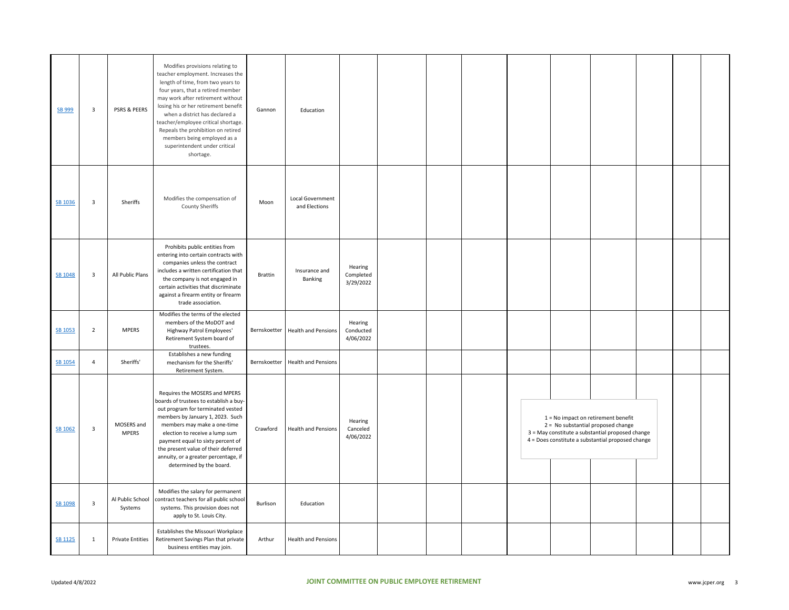| SB 999         | $\overline{\mathbf{3}}$ | PSRS & PEERS                | Modifies provisions relating to<br>teacher employment. Increases the<br>length of time, from two years to<br>four years, that a retired member<br>may work after retirement without<br>losing his or her retirement benefit<br>when a district has declared a<br>teacher/employee critical shortage.<br>Repeals the prohibition on retired<br>members being employed as a<br>superintendent under critical<br>shortage. | Gannon         | Education                         |                                   |  |  |                                                                                                                                                                                    |  |  |
|----------------|-------------------------|-----------------------------|-------------------------------------------------------------------------------------------------------------------------------------------------------------------------------------------------------------------------------------------------------------------------------------------------------------------------------------------------------------------------------------------------------------------------|----------------|-----------------------------------|-----------------------------------|--|--|------------------------------------------------------------------------------------------------------------------------------------------------------------------------------------|--|--|
| SB 1036        | $\overline{\mathbf{3}}$ | Sheriffs                    | Modifies the compensation of<br>County Sheriffs                                                                                                                                                                                                                                                                                                                                                                         | Moon           | Local Government<br>and Elections |                                   |  |  |                                                                                                                                                                                    |  |  |
| SB 1048        | $\overline{\mathbf{3}}$ | All Public Plans            | Prohibits public entities from<br>entering into certain contracts with<br>companies unless the contract<br>includes a written certification that<br>the company is not engaged in<br>certain activities that discriminate<br>against a firearm entity or firearm<br>trade association.                                                                                                                                  | <b>Brattin</b> | Insurance and<br><b>Banking</b>   | Hearing<br>Completed<br>3/29/2022 |  |  |                                                                                                                                                                                    |  |  |
| SB 1053        | $\mathbf 2$             | <b>MPERS</b>                | Modifies the terms of the elected<br>members of the MoDOT and<br>Highway Patrol Employees'<br>Retirement System board of<br>trustees.                                                                                                                                                                                                                                                                                   | Bernskoetter   | <b>Health and Pensions</b>        | Hearing<br>Conducted<br>4/06/2022 |  |  |                                                                                                                                                                                    |  |  |
| SB 1054        | $\overline{4}$          | Sheriffs'                   | Establishes a new funding<br>mechanism for the Sheriffs'<br>Retirement System.                                                                                                                                                                                                                                                                                                                                          |                | Bernskoetter Health and Pensions  |                                   |  |  |                                                                                                                                                                                    |  |  |
| SB 1062        | $\overline{\mathbf{3}}$ | MOSERS and<br><b>MPERS</b>  | Requires the MOSERS and MPERS<br>boards of trustees to establish a buy-<br>out program for terminated vested<br>members by January 1, 2023. Such<br>members may make a one-time<br>election to receive a lump sum<br>payment equal to sixty percent of<br>the present value of their deferred<br>annuity, or a greater percentage, if<br>determined by the board.                                                       | Crawford       | <b>Health and Pensions</b>        | Hearing<br>Canceled<br>4/06/2022  |  |  | 1 = No impact on retirement benefit<br>2 = No substantial proposed change<br>3 = May constitute a substantial proposed change<br>4 = Does constitute a substantial proposed change |  |  |
| SB 1098        | $\overline{\mathbf{3}}$ | Al Public School<br>Systems | Modifies the salary for permanent<br>contract teachers for all public school<br>systems. This provision does not<br>apply to St. Louis City.                                                                                                                                                                                                                                                                            | Burlison       | Education                         |                                   |  |  |                                                                                                                                                                                    |  |  |
| <b>SB 1125</b> | 1                       | <b>Private Entities</b>     | Establishes the Missouri Workplace<br>Retirement Savings Plan that private<br>business entities may join.                                                                                                                                                                                                                                                                                                               | Arthur         | <b>Health and Pensions</b>        |                                   |  |  |                                                                                                                                                                                    |  |  |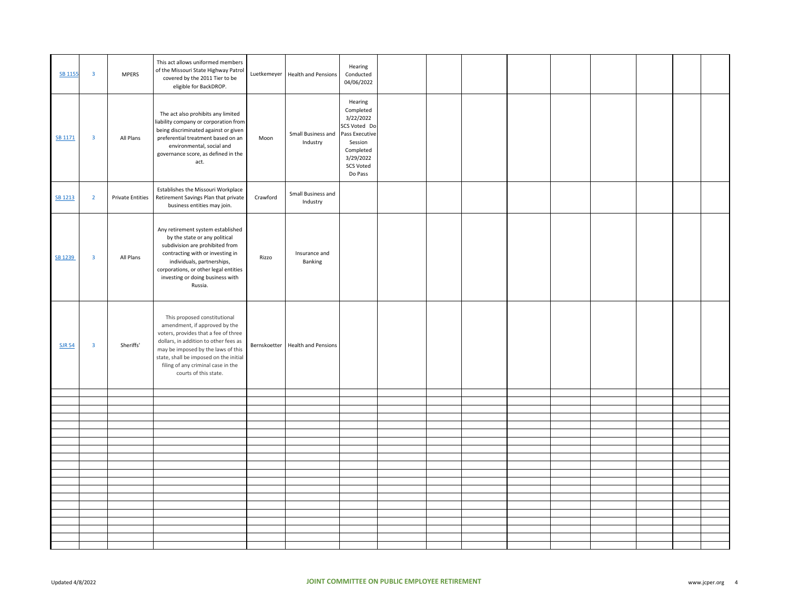| <b>SB 1155</b> | $\overline{\mathbf{3}}$ | <b>MPERS</b>            | This act allows uniformed members<br>of the Missouri State Highway Patrol<br>covered by the 2011 Tier to be<br>eligible for BackDROP.                                                                                                                                                         |          | Luetkemeyer   Health and Pensions | Hearing<br>Conducted<br>04/06/2022                                                                                                      |  |  |  |  |  |
|----------------|-------------------------|-------------------------|-----------------------------------------------------------------------------------------------------------------------------------------------------------------------------------------------------------------------------------------------------------------------------------------------|----------|-----------------------------------|-----------------------------------------------------------------------------------------------------------------------------------------|--|--|--|--|--|
| SB 1171        | $\overline{\mathbf{3}}$ | All Plans               | The act also prohibits any limited<br>iability company or corporation from<br>being discriminated against or given<br>preferential treatment based on an<br>environmental, social and<br>governance score, as defined in the<br>act.                                                          | Moon     | Small Business and<br>Industry    | Hearing<br>Completed<br>3/22/2022<br>SCS Voted Do<br>Pass Executive<br>Session<br>Completed<br>3/29/2022<br><b>SCS Voted</b><br>Do Pass |  |  |  |  |  |
| SB 1213        | $\overline{2}$          | <b>Private Entities</b> | Establishes the Missouri Workplace<br>Retirement Savings Plan that private<br>business entities may join.                                                                                                                                                                                     | Crawford | Small Business and<br>Industry    |                                                                                                                                         |  |  |  |  |  |
| SB 1239        | $\overline{\mathbf{3}}$ | All Plans               | Any retirement system established<br>by the state or any political<br>subdivision are prohibited from<br>contracting with or investing in<br>individuals, partnerships,<br>corporations, or other legal entities<br>investing or doing business with<br>Russia.                               | Rizzo    | Insurance and<br>Banking          |                                                                                                                                         |  |  |  |  |  |
| <b>SJR 54</b>  | $\overline{\mathbf{3}}$ | Sheriffs'               | This proposed constitutional<br>amendment, if approved by the<br>voters, provides that a fee of three<br>dollars, in addition to other fees as<br>may be imposed by the laws of this<br>state, shall be imposed on the initial<br>filing of any criminal case in the<br>courts of this state. |          | Bernskoetter Health and Pensions  |                                                                                                                                         |  |  |  |  |  |
|                |                         |                         |                                                                                                                                                                                                                                                                                               |          |                                   |                                                                                                                                         |  |  |  |  |  |
|                |                         |                         |                                                                                                                                                                                                                                                                                               |          |                                   |                                                                                                                                         |  |  |  |  |  |
|                |                         |                         |                                                                                                                                                                                                                                                                                               |          |                                   |                                                                                                                                         |  |  |  |  |  |
|                |                         |                         |                                                                                                                                                                                                                                                                                               |          |                                   |                                                                                                                                         |  |  |  |  |  |
|                |                         |                         |                                                                                                                                                                                                                                                                                               |          |                                   |                                                                                                                                         |  |  |  |  |  |
|                |                         |                         |                                                                                                                                                                                                                                                                                               |          |                                   |                                                                                                                                         |  |  |  |  |  |
|                |                         |                         |                                                                                                                                                                                                                                                                                               |          |                                   |                                                                                                                                         |  |  |  |  |  |
|                |                         |                         |                                                                                                                                                                                                                                                                                               |          |                                   |                                                                                                                                         |  |  |  |  |  |
|                |                         |                         |                                                                                                                                                                                                                                                                                               |          |                                   |                                                                                                                                         |  |  |  |  |  |
|                |                         |                         |                                                                                                                                                                                                                                                                                               |          |                                   |                                                                                                                                         |  |  |  |  |  |
|                |                         |                         |                                                                                                                                                                                                                                                                                               |          |                                   |                                                                                                                                         |  |  |  |  |  |
|                |                         |                         |                                                                                                                                                                                                                                                                                               |          |                                   |                                                                                                                                         |  |  |  |  |  |
|                |                         |                         |                                                                                                                                                                                                                                                                                               |          |                                   |                                                                                                                                         |  |  |  |  |  |
|                |                         |                         |                                                                                                                                                                                                                                                                                               |          |                                   |                                                                                                                                         |  |  |  |  |  |
|                |                         |                         |                                                                                                                                                                                                                                                                                               |          |                                   |                                                                                                                                         |  |  |  |  |  |
|                |                         |                         |                                                                                                                                                                                                                                                                                               |          |                                   |                                                                                                                                         |  |  |  |  |  |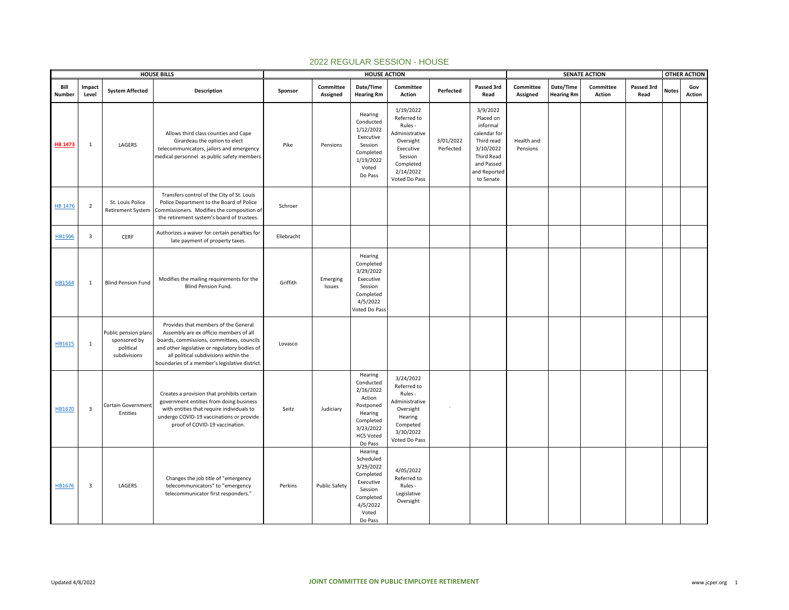|                |                         |                                                                   | <b>HOUSE BILLS</b>                                                                                                                                                                                                                                                     |            |                       | <b>HOUSE ACTION</b>                                                                                                          |                                                                                                                                       |                        |                                                                                                                                       |                        |                                | <b>SENATE ACTION</b>       |                    |              | <b>OTHER ACTION</b> |
|----------------|-------------------------|-------------------------------------------------------------------|------------------------------------------------------------------------------------------------------------------------------------------------------------------------------------------------------------------------------------------------------------------------|------------|-----------------------|------------------------------------------------------------------------------------------------------------------------------|---------------------------------------------------------------------------------------------------------------------------------------|------------------------|---------------------------------------------------------------------------------------------------------------------------------------|------------------------|--------------------------------|----------------------------|--------------------|--------------|---------------------|
| Bill<br>Number | Impact<br>Level         | <b>System Affected</b>                                            | Description                                                                                                                                                                                                                                                            | Sponsor    | Committee<br>Assigned | Date/Time<br><b>Hearing Rm</b>                                                                                               | Committee<br>Action                                                                                                                   | Perfected              | Passed 3rd<br>Read                                                                                                                    | Committee<br>Assigned  | Date/Time<br><b>Hearing Rm</b> | Committee<br><b>Action</b> | Passed 3rd<br>Read | <b>Notes</b> | Gov<br>Action       |
| <b>HB 1473</b> | 1                       | LAGERS                                                            | Allows third class counties and Cape<br>Girardeau the option to elect<br>telecommunicators, jailors and emergency<br>medical personnel as public safety members                                                                                                        | Pike       | Pensions              | Hearing<br>Conducted<br>1/12/2022<br>Executive<br>Session<br>Completed<br>1/19/2022<br>Voted<br>Do Pass                      | 1/19/2022<br>Referred to<br>Rules -<br>Administrative<br>Oversight<br>Executive<br>Session<br>Completed<br>2/14/2022<br>Voted Do Pass | 3/01/2022<br>Perfected | 3/9/2022<br>Placed on<br>informal<br>calendar for<br>Third read<br>3/10/2022<br>Third Read<br>and Passed<br>and Reported<br>to Senate | Health and<br>Pensions |                                |                            |                    |              |                     |
| <b>HB 1476</b> | $\overline{2}$          | St. Louis Police<br><b>Retirement System</b>                      | Transfers control of the City of St. Louis<br>Police Department to the Board of Police<br>Commissioners. Modifies the composition of<br>the retirement system's board of trustees.                                                                                     | Schroer    |                       |                                                                                                                              |                                                                                                                                       |                        |                                                                                                                                       |                        |                                |                            |                    |              |                     |
| HB1506         | $\overline{\mathbf{3}}$ | CERF                                                              | Authorizes a waiver for certain penalties for<br>late payment of property taxes.                                                                                                                                                                                       | Ellebracht |                       |                                                                                                                              |                                                                                                                                       |                        |                                                                                                                                       |                        |                                |                            |                    |              |                     |
| HB1564         | 1                       | <b>Blind Pension Fund</b>                                         | Modifies the mailing requirements for the<br>Blind Pension Fund.                                                                                                                                                                                                       | Griffith   | Emerging<br>Issues    | Hearing<br>Completed<br>3/29/2022<br>Executive<br>Session<br>Completed<br>4/5/2022<br>Voted Do Pass                          |                                                                                                                                       |                        |                                                                                                                                       |                        |                                |                            |                    |              |                     |
| HB1615         | $\mathbf{1}$            | Public pension plans<br>sponsored by<br>political<br>subdivisions | Provides that members of the General<br>Assembly are ex officio members of all<br>boards, commissions, committees, councils<br>and other legislative or regulatory bodies of<br>all political subdivisions within the<br>boundaries of a member's legislative district | Lovasco    |                       |                                                                                                                              |                                                                                                                                       |                        |                                                                                                                                       |                        |                                |                            |                    |              |                     |
| HB1670         | $\overline{\mathbf{3}}$ | Certain Government<br>Entities                                    | Creates a provision that prohibits certain<br>government entities from doing business<br>with entities that require individuals to<br>undergo COVID-19 vaccinations or provide<br>proof of COVID-19 vaccination.                                                       | Seitz      | Judiciary             | Hearing<br>Conducted<br>2/16/2022<br>Action<br>Postponed<br>Hearing<br>Completed<br>3/23/2022<br><b>HCS Voted</b><br>Do Pass | 3/24/2022<br>Referred to<br>Rules -<br>Administrative<br>Oversight<br>Hearing<br>Competed<br>3/30/2022<br>Voted Do Pass               |                        |                                                                                                                                       |                        |                                |                            |                    |              |                     |
| HB1676         | $\overline{\mathbf{3}}$ | LAGERS                                                            | Changes the job title of "emergency<br>telecommunicators" to "emergency<br>telecommunicator first responders."                                                                                                                                                         | Perkins    | <b>Public Safety</b>  | Hearing<br>Scheduled<br>3/29/2022<br>Completed<br>Executive<br>Session<br>Completed<br>4/5/2022<br>Voted<br>Do Pass          | 4/05/2022<br>Referred to<br>Rules -<br>Legislative<br>Oversight                                                                       |                        |                                                                                                                                       |                        |                                |                            |                    |              |                     |

## 2022 REGULAR SESSION - HOUSE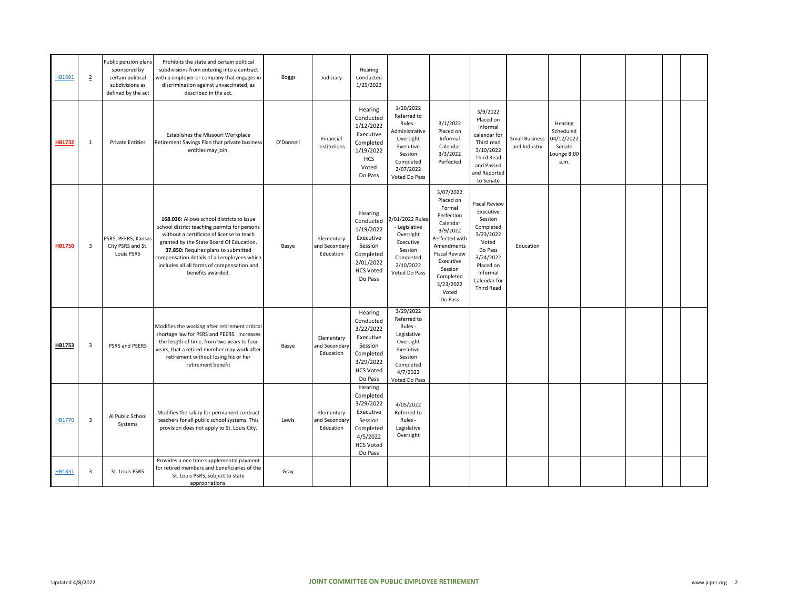| HB1691        | $\overline{2}$          | Public pension plans<br>sponsored by<br>certain political<br>subdivisions as<br>defined by the act | Prohibits the state and certain political<br>subdivisions from entering into a contract<br>with a employer or company that engages ir<br>discrimination against unvaccinated, as<br>described in the act.                                                                                                                                   | <b>Boggs</b> | Judiciary                                | Hearing<br>Conducted<br>1/25/2022                                                                                  |                                                                                                                                       |                                                                                                                                                                                                      |                                                                                                                                                                |                                       |                                                                     |  |  |
|---------------|-------------------------|----------------------------------------------------------------------------------------------------|---------------------------------------------------------------------------------------------------------------------------------------------------------------------------------------------------------------------------------------------------------------------------------------------------------------------------------------------|--------------|------------------------------------------|--------------------------------------------------------------------------------------------------------------------|---------------------------------------------------------------------------------------------------------------------------------------|------------------------------------------------------------------------------------------------------------------------------------------------------------------------------------------------------|----------------------------------------------------------------------------------------------------------------------------------------------------------------|---------------------------------------|---------------------------------------------------------------------|--|--|
| <b>HB1732</b> | 1                       | <b>Private Entities</b>                                                                            | Establishes the Missouri Workplace<br>Retirement Savings Plan that private business<br>entities may join.                                                                                                                                                                                                                                   | O'Donnell    | Financial<br>Institutions                | Hearing<br>Conducted<br>1/12/2022<br>Executive<br>Completed<br>1/19/2022<br><b>HCS</b><br>Voted<br>Do Pass         | 1/20/2022<br>Referred to<br>Rules -<br>Administrative<br>Oversight<br>Executive<br>Session<br>Completed<br>2/07/2022<br>Voted Do Pass | 3/1/2022<br>Placed on<br>Informal<br>Calendar<br>3/3/2022<br>Perfected                                                                                                                               | 3/9/2022<br>Placed on<br>informal<br>calendar for<br>Third read<br>3/10/2022<br><b>Third Read</b><br>and Passed<br>and Reported<br>to Senate                   | <b>Small Business</b><br>and Industry | Hearing<br>Scheduled<br>04/12/2022<br>Senate<br>Lounge 8:00<br>a.m. |  |  |
| <b>HB1750</b> | 3                       | PSRS, PEERS, Kansas<br>City PSRS and St.<br>Louis PSRS                                             | 168.036: Allows school districts to issue<br>school district teaching permits for persons<br>without a certificate of license to teach<br>granted by the State Board Of Education.<br>37.850: Requires plans to submitted<br>compensation details of all employees which<br>includes all all forms of compensation and<br>benefits awarded. | Basye        | Elementary<br>and Secondary<br>Education | Hearing<br>Conducted<br>1/19/2022<br>Executive<br>Session<br>Completed<br>2/01/2022<br><b>HCS Voted</b><br>Do Pass | 2/01/2022 Rules<br>- Legislative<br>Oversight<br>Executive<br>Session<br>Completed<br>2/10/2022<br>Voted Do Pass                      | 3/07/2022<br>Placed on<br>Formal<br>Perfection<br>Calendar<br>3/9/2022<br>Perfected with<br>Amendments<br><b>Fiscal Review</b><br>Executive<br>Session<br>Completed<br>3/23/2022<br>Voted<br>Do Pass | Fiscal Review<br>Executive<br>Session<br>Completed<br>3/23/2022<br>Voted<br>Do Pass<br>3/24/2022<br>Placed on<br>Informal<br>Calendar for<br><b>Third Read</b> | Education                             |                                                                     |  |  |
| HB1753        | $\overline{\mathbf{3}}$ | PSRS and PEERS                                                                                     | Modifies the working after retirement critical<br>shortage law for PSRS and PEERS. Increases<br>the length of time, from two years to four<br>years, that a retired member may work after<br>retirement without losing his or her<br>retirement benefit                                                                                     | Basye        | Elementary<br>and Secondary<br>Education | Hearing<br>Conducted<br>3/22/2022<br>Executive<br>Session<br>Completed<br>3/29/2022<br><b>HCS Voted</b><br>Do Pass | 3/29/2022<br>Referred to<br>Rules -<br>Legislative<br>Oversight<br>Executive<br>Session<br>Completed<br>4/7/2022<br>Voted Do Pass     |                                                                                                                                                                                                      |                                                                                                                                                                |                                       |                                                                     |  |  |
| HB1770        | $\overline{\mathbf{3}}$ | Al Public School<br>Systems                                                                        | Modifies the salary for permanent contract<br>teachers for all public school systems. This<br>provision does not apply to St. Louis City.                                                                                                                                                                                                   | Lewis        | Elementary<br>and Secondary<br>Education | Hearing<br>Completed<br>3/29/2022<br>Executive<br>Session<br>Completed<br>4/5/2022<br><b>HCS Voted</b><br>Do Pass  | 4/05/2022<br>Referred to<br>Rules -<br>Legislative<br>Oversight                                                                       |                                                                                                                                                                                                      |                                                                                                                                                                |                                       |                                                                     |  |  |
| HB1831        | $\overline{\mathbf{3}}$ | St. Louis PSRS                                                                                     | Provides a one time supplemental payment<br>for retired members and beneficiaries of the<br>St. Louis PSRS, subject to state<br>appropriations.                                                                                                                                                                                             | Gray         |                                          |                                                                                                                    |                                                                                                                                       |                                                                                                                                                                                                      |                                                                                                                                                                |                                       |                                                                     |  |  |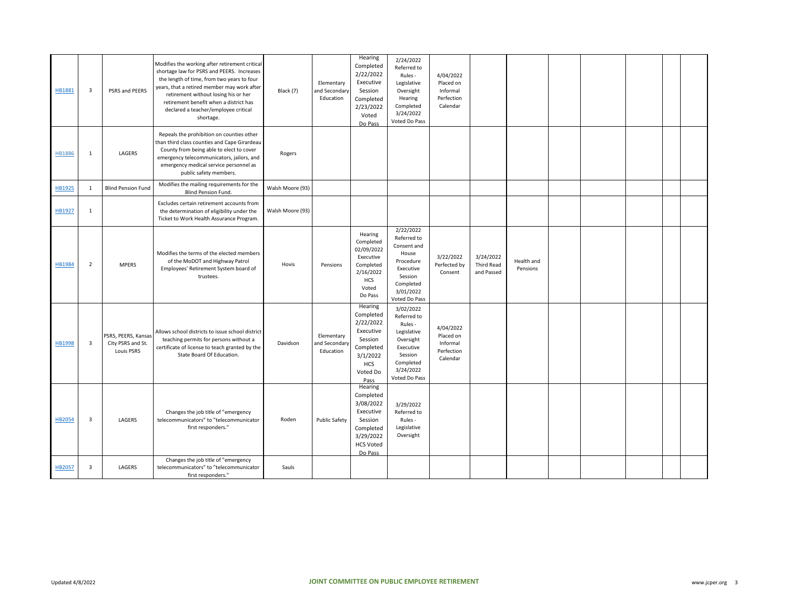| HB1881        | $\overline{\mathbf{3}}$ | PSRS and PEERS                                         | Modifies the working after retirement critical<br>shortage law for PSRS and PEERS. Increases<br>the length of time, from two years to four<br>years, that a retired member may work after<br>retirement without losing his or her<br>retirement benefit when a district has<br>declared a teacher/employee critical<br>shortage. | Black (7)        | Elementary<br>and Secondary<br>Education | Hearing<br>Completed<br>2/22/2022<br>Executive<br>Session<br>Completed<br>2/23/2022<br>Voted<br>Do Pass              | 2/24/2022<br>Referred to<br>Rules -<br>Legislative<br>Oversight<br>Hearing<br>Completed<br>3/24/2022<br>Voted Do Pass              | 4/04/2022<br>Placed on<br>Informal<br>Perfection<br>Calendar |                                       |                        |  |  |  |
|---------------|-------------------------|--------------------------------------------------------|----------------------------------------------------------------------------------------------------------------------------------------------------------------------------------------------------------------------------------------------------------------------------------------------------------------------------------|------------------|------------------------------------------|----------------------------------------------------------------------------------------------------------------------|------------------------------------------------------------------------------------------------------------------------------------|--------------------------------------------------------------|---------------------------------------|------------------------|--|--|--|
| <b>HB1886</b> | $\mathbf{1}$            | LAGERS                                                 | Repeals the prohibition on counties other<br>than third class counties and Cape Girardeau<br>County from being able to elect to cover<br>emergency telecommunicators, jailors, and<br>emergency medical service personnel as<br>public safety members.                                                                           | Rogers           |                                          |                                                                                                                      |                                                                                                                                    |                                                              |                                       |                        |  |  |  |
| HB1925        | 1                       | <b>Blind Pension Fund</b>                              | Modifies the mailing requirements for the<br>Blind Pension Fund.                                                                                                                                                                                                                                                                 | Walsh Moore (93) |                                          |                                                                                                                      |                                                                                                                                    |                                                              |                                       |                        |  |  |  |
| HB1927        | 1                       |                                                        | Excludes certain retirement accounts from<br>the determination of eligibility under the<br>Ticket to Work Health Assurance Program.                                                                                                                                                                                              | Walsh Moore (93) |                                          |                                                                                                                      |                                                                                                                                    |                                                              |                                       |                        |  |  |  |
| HB1984        | $\overline{2}$          | <b>MPERS</b>                                           | Modifies the terms of the elected members<br>of the MoDOT and Highway Patrol<br>Employees' Retirement System board of<br>trustees.                                                                                                                                                                                               | Hovis            | Pensions                                 | Hearing<br>Completed<br>02/09/2022<br>Executive<br>Completed<br>2/16/2022<br>HCS<br>Voted<br>Do Pass                 | 2/22/2022<br>Referred to<br>Consent and<br>House<br>Procedure<br>Executive<br>Session<br>Completed<br>3/01/2022<br>Voted Do Pass   | 3/22/2022<br>Perfected by<br>Consent                         | 3/24/2022<br>Third Read<br>and Passed | Health and<br>Pensions |  |  |  |
| HB1998        | $\overline{\mathbf{3}}$ | PSRS, PEERS, Kansas<br>City PSRS and St.<br>Louis PSRS | Allows school districts to issue school district<br>teaching permits for persons without a<br>certificate of license to teach granted by the<br>State Board Of Education.                                                                                                                                                        | Davidson         | Elementary<br>and Secondary<br>Education | Hearing<br>Completed<br>2/22/2022<br>Executive<br>Session<br>Completed<br>3/1/2022<br><b>HCS</b><br>Voted Do<br>Pass | 3/02/2022<br>Referred to<br>Rules -<br>Legislative<br>Oversight<br>Executive<br>Session<br>Completed<br>3/24/2022<br>Voted Do Pass | 4/04/2022<br>Placed on<br>Informal<br>Perfection<br>Calendar |                                       |                        |  |  |  |
| HB2054        | $\overline{\mathbf{3}}$ | LAGERS                                                 | Changes the job title of "emergency<br>telecommunicators" to "telecommunicator<br>first responders."                                                                                                                                                                                                                             | Roden            | <b>Public Safety</b>                     | Hearing<br>Completed<br>3/08/2022<br>Executive<br>Session<br>Completed<br>3/29/2022<br><b>HCS Voted</b><br>Do Pass   | 3/29/2022<br>Referred to<br>Rules -<br>Legislative<br>Oversight                                                                    |                                                              |                                       |                        |  |  |  |
| <b>HB2057</b> | $\overline{\mathbf{3}}$ | LAGERS                                                 | Changes the job title of "emergency<br>telecommunicators" to "telecommunicator<br>first responders."                                                                                                                                                                                                                             | Sauls            |                                          |                                                                                                                      |                                                                                                                                    |                                                              |                                       |                        |  |  |  |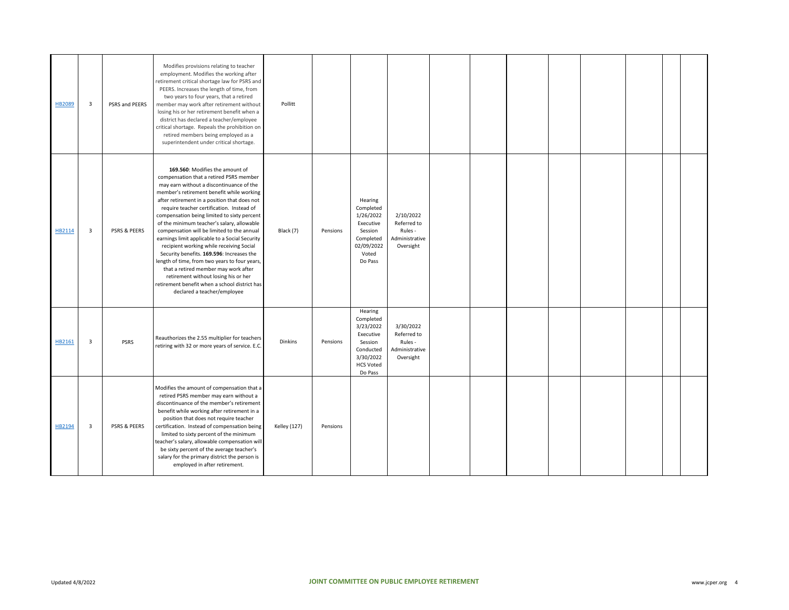| HB2089 | 3              | PSRS and PEERS | Modifies provisions relating to teacher<br>employment. Modifies the working after<br>retirement critical shortage law for PSRS and<br>PEERS. Increases the length of time, from<br>two years to four years, that a retired<br>member may work after retirement without<br>losing his or her retirement benefit when a<br>district has declared a teacher/employee<br>critical shortage. Repeals the prohibition on<br>retired members being employed as a<br>superintendent under critical shortage.                                                                                                                                                                                                                                                                    | Pollitt             |          |                                                                                                                    |                                                                    |  |  |  |  |
|--------|----------------|----------------|-------------------------------------------------------------------------------------------------------------------------------------------------------------------------------------------------------------------------------------------------------------------------------------------------------------------------------------------------------------------------------------------------------------------------------------------------------------------------------------------------------------------------------------------------------------------------------------------------------------------------------------------------------------------------------------------------------------------------------------------------------------------------|---------------------|----------|--------------------------------------------------------------------------------------------------------------------|--------------------------------------------------------------------|--|--|--|--|
| HB2114 | $\overline{3}$ | PSRS & PEERS   | 169.560: Modifies the amount of<br>compensation that a retired PSRS member<br>may earn without a discontinuance of the<br>member's retirement benefit while working<br>after retirement in a position that does not<br>require teacher certification. Instead of<br>compensation being limited to sixty percent<br>of the minimum teacher's salary, allowable<br>compensation will be limited to the annual<br>earnings limit applicable to a Social Security<br>recipient working while receiving Social<br>Security benefits. 169.596: Increases the<br>length of time, from two years to four years,<br>that a retired member may work after<br>retirement without losing his or her<br>retirement benefit when a school district has<br>declared a teacher/employee | Black (7)           | Pensions | Hearing<br>Completed<br>1/26/2022<br>Executive<br>Session<br>Completed<br>02/09/2022<br>Voted<br>Do Pass           | 2/10/2022<br>Referred to<br>Rules -<br>Administrative<br>Oversight |  |  |  |  |
| HB2161 | 3              | <b>PSRS</b>    | Reauthorizes the 2.55 multiplier for teachers<br>retiring with 32 or more years of service. E.C.                                                                                                                                                                                                                                                                                                                                                                                                                                                                                                                                                                                                                                                                        | Dinkins             | Pensions | Hearing<br>Completed<br>3/23/2022<br>Executive<br>Session<br>Conducted<br>3/30/2022<br><b>HCS Voted</b><br>Do Pass | 3/30/2022<br>Referred to<br>Rules -<br>Administrative<br>Oversight |  |  |  |  |
| HB2194 | 3              | PSRS & PEERS   | Modifies the amount of compensation that a<br>retired PSRS member may earn without a<br>discontinuance of the member's retirement<br>benefit while working after retirement in a<br>position that does not require teacher<br>certification. Instead of compensation being<br>limited to sixty percent of the minimum<br>teacher's salary, allowable compensation will<br>be sixty percent of the average teacher's<br>salary for the primary district the person is<br>employed in after retirement.                                                                                                                                                                                                                                                                   | <b>Kelley (127)</b> | Pensions |                                                                                                                    |                                                                    |  |  |  |  |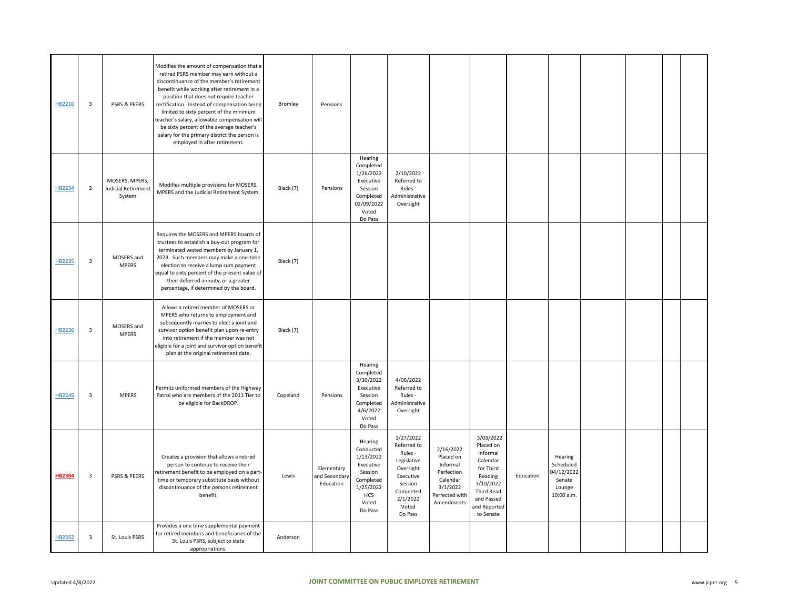| HB2216        | 3              | PSRS & PEERS                                           | Modifies the amount of compensation that a<br>retired PSRS member may earn without a<br>discontinuance of the member's retirement<br>benefit while working after retirement in a<br>position that does not require teacher<br>certification. Instead of compensation being<br>limited to sixty percent of the minimum<br>teacher's salary, allowable compensation will<br>be sixty percent of the average teacher's<br>salary for the primary district the person is<br>employed in after retirement. | Bromley   | Pensions                                 |                                                                                                                |                                                                                                                                      |                                                                                                          |                                                                                                                                              |           |                                                                      |  |  |
|---------------|----------------|--------------------------------------------------------|-------------------------------------------------------------------------------------------------------------------------------------------------------------------------------------------------------------------------------------------------------------------------------------------------------------------------------------------------------------------------------------------------------------------------------------------------------------------------------------------------------|-----------|------------------------------------------|----------------------------------------------------------------------------------------------------------------|--------------------------------------------------------------------------------------------------------------------------------------|----------------------------------------------------------------------------------------------------------|----------------------------------------------------------------------------------------------------------------------------------------------|-----------|----------------------------------------------------------------------|--|--|
| HB2234        | $\overline{2}$ | MOSERS, MPERS,<br><b>Judicial Retirement</b><br>System | Modifies multiple provisions for MOSERS,<br>MPERS and the Judicial Retirement System.                                                                                                                                                                                                                                                                                                                                                                                                                 | Black (7) | Pensions                                 | Hearing<br>Completed<br>1/26/2022<br>Executive<br>Session<br>Completed<br>02/09/2022<br>Voted<br>Do Pass       | 2/10/2022<br>Referred to<br>Rules -<br>Administrative<br>Oversight                                                                   |                                                                                                          |                                                                                                                                              |           |                                                                      |  |  |
| HB2235        | 3              | MOSERS and<br><b>MPERS</b>                             | Requires the MOSERS and MPERS boards of<br>trustees to establish a buy-out program for<br>terminated vested members by January 1,<br>2023. Such members may make a one-time<br>election to receive a lump sum payment<br>equal to sixty percent of the present value of<br>their deferred annuity, or a greater<br>percentage, if determined by the board.                                                                                                                                            | Black (7) |                                          |                                                                                                                |                                                                                                                                      |                                                                                                          |                                                                                                                                              |           |                                                                      |  |  |
| HB2236        | 3              | MOSERS and<br><b>MPERS</b>                             | Allows a retired member of MOSERS or<br>MPERS who returns to employment and<br>subsequently marries to elect a joint and<br>survivor option benefit plan upon re-entry<br>into retirement if the member was not<br>eligible for a joint and survivor option benefit<br>plan at the original retirement date.                                                                                                                                                                                          | Black (7) |                                          |                                                                                                                |                                                                                                                                      |                                                                                                          |                                                                                                                                              |           |                                                                      |  |  |
| HB2245        | 3              | <b>MPERS</b>                                           | Permits uniformed members of the Highway<br>Patrol who are members of the 2011 Tier to<br>be eligible for BackDROP.                                                                                                                                                                                                                                                                                                                                                                                   | Copeland  | Pensions                                 | Hearing<br>Completed<br>3/30/2022<br>Executive<br>Session<br>Completed<br>4/6/2022<br>Voted<br>Do Pass         | 4/06/2022<br>Referred to<br>Rules -<br>Administrative<br>Oversight                                                                   |                                                                                                          |                                                                                                                                              |           |                                                                      |  |  |
| <b>HB2304</b> | 3              | <b>PSRS &amp; PEERS</b>                                | Creates a provision that allows a retired<br>person to continue to receive their<br>retirement benefit to be employed on a part-<br>time or temporary substitute basis without<br>discontinuance of the persons retirement<br>benefit.                                                                                                                                                                                                                                                                | Lewis     | Elementary<br>and Secondary<br>Education | Hearing<br>Conducted<br>1/13/2022<br>Executive<br>Session<br>Completed<br>1/25/2022<br>HCS<br>Voted<br>Do Pass | 1/27/2022<br>Referred to<br>Rules -<br>Legislative<br>Oversight<br>Executive<br>Session<br>Completed<br>2/1/2022<br>Voted<br>Do Pass | 2/16/2022<br>Placed on<br>Informal<br>Perfection<br>Calendar<br>3/1/2022<br>Perfected with<br>Amendments | 3/03/2022<br>Placed on<br>Informal<br>Calendar<br>for Third<br>Reading<br>3/10/2022<br>Third Read<br>and Passed<br>and Reported<br>to Senate | Education | Hearing<br>Scheduled<br>04/12/2022<br>Senate<br>Lounge<br>10:00 a.m. |  |  |
| HB2352        | $\mathsf 3$    | St. Louis PSRS                                         | Provides a one time supplemental payment<br>for retired members and beneficiaries of the<br>St. Louis PSRS, subject to state<br>appropriations.                                                                                                                                                                                                                                                                                                                                                       | Anderson  |                                          |                                                                                                                |                                                                                                                                      |                                                                                                          |                                                                                                                                              |           |                                                                      |  |  |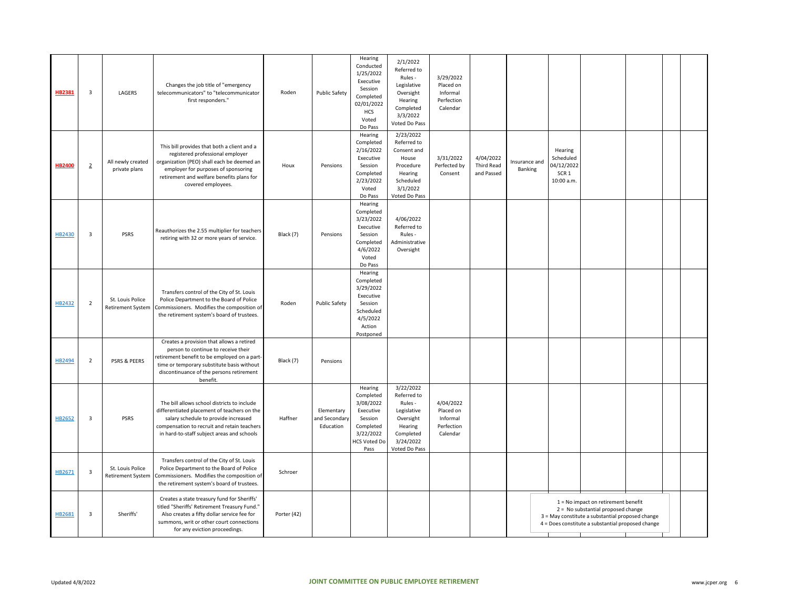| HB2381        | $\overline{\mathbf{3}}$ | LAGERS                                | Changes the job title of "emergency<br>telecommunicators" to "telecommunicator<br>first responders."                                                                                                                                    | Roden       | <b>Public Safety</b>                    | Hearing<br>Conducted<br>1/25/2022<br>Executive<br>Session<br>Completed<br>02/01/2022<br>HCS<br>Voted<br>Do Pass    | 2/1/2022<br>Referred to<br>Rules -<br>Legislative<br>Oversight<br>Hearing<br>Completed<br>3/3/2022<br>Voted Do Pass   | 3/29/2022<br>Placed on<br>Informal<br>Perfection<br>Calendar |                                              |                          |                                                           |                                                                                                                                                                                        |  |  |
|---------------|-------------------------|---------------------------------------|-----------------------------------------------------------------------------------------------------------------------------------------------------------------------------------------------------------------------------------------|-------------|-----------------------------------------|--------------------------------------------------------------------------------------------------------------------|-----------------------------------------------------------------------------------------------------------------------|--------------------------------------------------------------|----------------------------------------------|--------------------------|-----------------------------------------------------------|----------------------------------------------------------------------------------------------------------------------------------------------------------------------------------------|--|--|
| <b>HB2400</b> | $\overline{2}$          | All newly created<br>private plans    | This bill provides that both a client and a<br>registered professional employer<br>organization (PEO) shall each be deemed an<br>employer for purposes of sponsoring<br>retirement and welfare benefits plans for<br>covered employees. | Houx        | Pensions                                | Hearing<br>Completed<br>2/16/2022<br>Executive<br>Session<br>Completed<br>2/23/2022<br>Voted<br>Do Pass            | 2/23/2022<br>Referred to<br>Consent and<br>House<br>Procedure<br>Hearing<br>Scheduled<br>3/1/2022<br>Voted Do Pass    | 3/31/2022<br>Perfected by<br>Consent                         | 4/04/2022<br><b>Third Read</b><br>and Passed | Insurance and<br>Banking | Hearing<br>Scheduled<br>04/12/2022<br>SCR 1<br>10:00 a.m. |                                                                                                                                                                                        |  |  |
| HB2430        | $\overline{\mathbf{3}}$ | PSRS                                  | Reauthorizes the 2.55 multiplier for teachers<br>retiring with 32 or more years of service.                                                                                                                                             | Black (7)   | Pensions                                | Hearing<br>Completed<br>3/23/2022<br>Executive<br>Session<br>Completed<br>4/6/2022<br>Voted<br>Do Pass             | 4/06/2022<br>Referred to<br>Rules -<br>Administrative<br>Oversight                                                    |                                                              |                                              |                          |                                                           |                                                                                                                                                                                        |  |  |
| HB2432        | $\overline{2}$          | St. Louis Police<br>Retirement System | Transfers control of the City of St. Louis<br>Police Department to the Board of Police<br>Commissioners. Modifies the composition of<br>the retirement system's board of trustees.                                                      | Roden       | <b>Public Safety</b>                    | Hearing<br>Completed<br>3/29/2022<br>Executive<br>Session<br>Scheduled<br>4/5/2022<br>Action<br>Postponed          |                                                                                                                       |                                                              |                                              |                          |                                                           |                                                                                                                                                                                        |  |  |
| HB2494        | $\overline{2}$          | PSRS & PEERS                          | Creates a provision that allows a retired<br>person to continue to receive their<br>retirement benefit to be employed on a part-<br>time or temporary substitute basis without<br>discontinuance of the persons retirement<br>benefit.  | Black (7)   | Pensions                                |                                                                                                                    |                                                                                                                       |                                                              |                                              |                          |                                                           |                                                                                                                                                                                        |  |  |
| HB2652        | 3                       | PSRS                                  | The bill allows school districts to include<br>differentiated placement of teachers on the<br>salary schedule to provide increased<br>compensation to recruit and retain teachers<br>in hard-to-staff subject areas and schools         | Haffner     | Elementary<br>and Secondar<br>Education | Hearing<br>Completed<br>3/08/2022<br>Executive<br>Session<br>Completed<br>3/22/2022<br><b>HCS Voted Do</b><br>Pass | 3/22/2022<br>Referred to<br>Rules -<br>Legislative<br>Oversight<br>Hearing<br>Completed<br>3/24/2022<br>Voted Do Pass | 4/04/2022<br>Placed on<br>Informal<br>Perfection<br>Calendar |                                              |                          |                                                           |                                                                                                                                                                                        |  |  |
| HB2671        | 3                       | St. Louis Police<br>Retirement System | Transfers control of the City of St. Louis<br>Police Department to the Board of Police<br>Commissioners. Modifies the composition of<br>the retirement system's board of trustees.                                                      | Schroer     |                                         |                                                                                                                    |                                                                                                                       |                                                              |                                              |                          |                                                           |                                                                                                                                                                                        |  |  |
| HB2681        | 3                       | Sheriffs'                             | Creates a state treasury fund for Sheriffs'<br>titled "Sheriffs' Retirement Treasury Fund."<br>Also creates a fifty dollar service fee for<br>summons, writ or other court connections<br>for any eviction proceedings.                 | Porter (42) |                                         |                                                                                                                    |                                                                                                                       |                                                              |                                              |                          |                                                           | $1 = No$ impact on retirement benefit<br>$2 = No$ substantial proposed change<br>3 = May constitute a substantial proposed change<br>4 = Does constitute a substantial proposed change |  |  |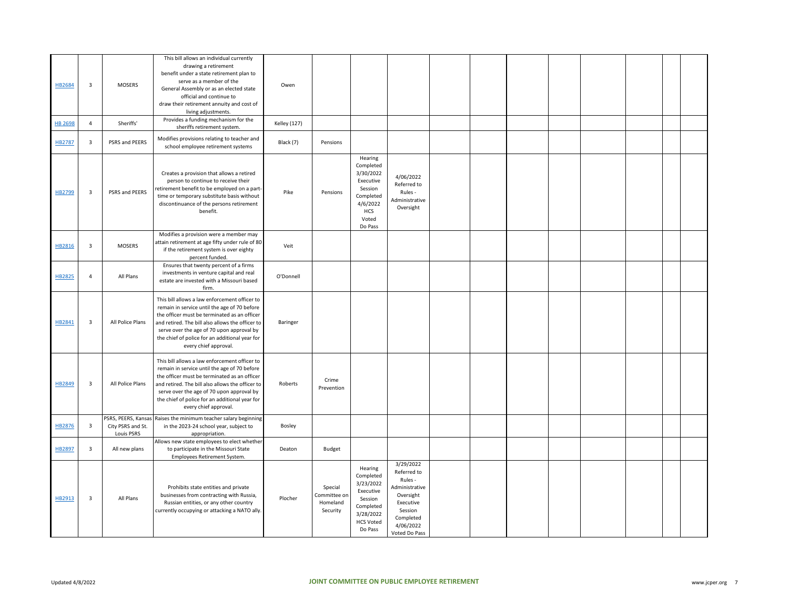| HB2684<br><b>HB 2698</b> | 3<br>$\overline{4}$     | <b>MOSERS</b><br>Sheriffs'                             | This bill allows an individual currently<br>drawing a retirement<br>benefit under a state retirement plan to<br>serve as a member of the<br>General Assembly or as an elected state<br>official and continue to<br>draw their retirement annuity and cost of<br>living adjustments.<br>Provides a funding mechanism for the<br>sheriffs retirement system. | Owen<br><b>Kelley (127)</b> |                                                 |                                                                                                                      |                                                                                                                                       |  |  |  |  |
|--------------------------|-------------------------|--------------------------------------------------------|------------------------------------------------------------------------------------------------------------------------------------------------------------------------------------------------------------------------------------------------------------------------------------------------------------------------------------------------------------|-----------------------------|-------------------------------------------------|----------------------------------------------------------------------------------------------------------------------|---------------------------------------------------------------------------------------------------------------------------------------|--|--|--|--|
| HB2787                   | $\overline{\mathbf{3}}$ | PSRS and PEERS                                         | Modifies provisions relating to teacher and<br>school employee retirement systems                                                                                                                                                                                                                                                                          | Black (7)                   | Pensions                                        |                                                                                                                      |                                                                                                                                       |  |  |  |  |
| HB2799                   | 3                       | PSRS and PEERS                                         | Creates a provision that allows a retired<br>person to continue to receive their<br>retirement benefit to be employed on a part-<br>time or temporary substitute basis without<br>discontinuance of the persons retirement<br>benefit.                                                                                                                     | Pike                        | Pensions                                        | Hearing<br>Completed<br>3/30/2022<br>Executive<br>Session<br>Completed<br>4/6/2022<br><b>HCS</b><br>Voted<br>Do Pass | 4/06/2022<br>Referred to<br>Rules -<br>Administrative<br>Oversight                                                                    |  |  |  |  |
| HB2816                   | $\overline{3}$          | <b>MOSERS</b>                                          | Modifies a provision were a member may<br>attain retirement at age fifty under rule of 80<br>if the retirement system is over eighty<br>percent funded.                                                                                                                                                                                                    | Veit                        |                                                 |                                                                                                                      |                                                                                                                                       |  |  |  |  |
| HB2825                   | $\overline{4}$          | All Plans                                              | Ensures that twenty percent of a firms<br>investments in venture capital and real<br>estate are invested with a Missouri based<br>firm.                                                                                                                                                                                                                    | O'Donnell                   |                                                 |                                                                                                                      |                                                                                                                                       |  |  |  |  |
| HB2841                   | 3                       | All Police Plans                                       | This bill allows a law enforcement officer to<br>remain in service until the age of 70 before<br>the officer must be terminated as an officer<br>and retired. The bill also allows the officer to<br>serve over the age of 70 upon approval by<br>the chief of police for an additional year for<br>every chief approval.                                  | Baringer                    |                                                 |                                                                                                                      |                                                                                                                                       |  |  |  |  |
| HB2849                   | 3                       | All Police Plans                                       | This bill allows a law enforcement officer to<br>remain in service until the age of 70 before<br>the officer must be terminated as an officer<br>and retired. The bill also allows the officer to<br>serve over the age of 70 upon approval by<br>the chief of police for an additional year for<br>every chief approval.                                  | Roberts                     | Crime<br>Prevention                             |                                                                                                                      |                                                                                                                                       |  |  |  |  |
| HB2876                   | $\overline{\mathbf{3}}$ | PSRS, PEERS, Kansas<br>City PSRS and St.<br>Louis PSRS | Raises the minimum teacher salary beginning<br>in the 2023-24 school year, subject to<br>appropriation.                                                                                                                                                                                                                                                    | Bosley                      |                                                 |                                                                                                                      |                                                                                                                                       |  |  |  |  |
| HB2897                   | $\overline{3}$          | All new plans                                          | Allows new state employees to elect whether<br>to participate in the Missouri State<br>Employees Retirement System.                                                                                                                                                                                                                                        | Deaton                      | Budget                                          |                                                                                                                      |                                                                                                                                       |  |  |  |  |
| HB2913                   | 3                       | All Plans                                              | Prohibits state entities and private<br>businesses from contracting with Russia,<br>Russian entities, or any other country<br>currently occupying or attacking a NATO ally.                                                                                                                                                                                | Plocher                     | Special<br>Committee on<br>Homeland<br>Security | Hearing<br>Completed<br>3/23/2022<br>Executive<br>Session<br>Completed<br>3/28/2022<br><b>HCS Voted</b><br>Do Pass   | 3/29/2022<br>Referred to<br>Rules -<br>Administrative<br>Oversight<br>Executive<br>Session<br>Completed<br>4/06/2022<br>Voted Do Pass |  |  |  |  |